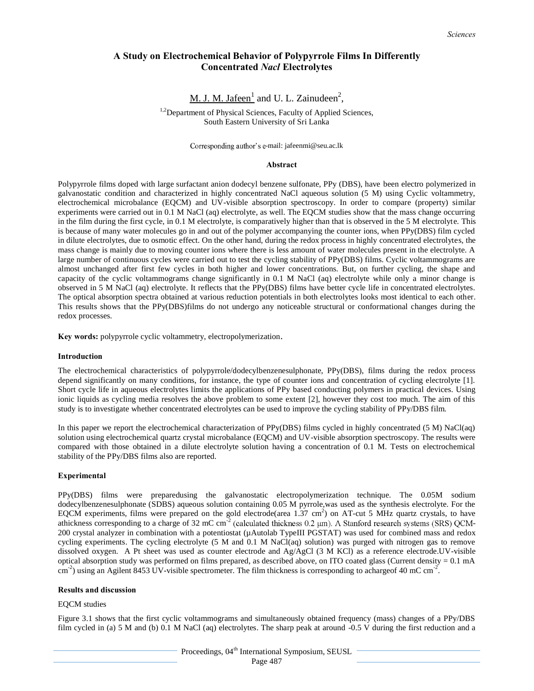# **A Study on Electrochemical Behavior of Polypyrrole Films In Differently Concentrated** *Nacl* **Electrolytes**

# M. J. M. Jafeen<sup>1</sup> and U. L. Zainudeen<sup>2</sup>,

<sup>1,2</sup>Department of Physical Sciences, Faculty of Applied Sciences, South Eastern University of Sri Lanka

Corresponding author's e-mail: jafeenmi@seu.ac.lk

### **Abstract**

Polypyrrole films doped with large surfactant anion dodecyl benzene sulfonate, PPy (DBS), have been electro polymerized in galvanostatic condition and characterized in highly concentrated NaCl aqueous solution (5 M) using Cyclic voltammetry, electrochemical microbalance (EQCM) and UV-visible absorption spectroscopy. In order to compare (property) similar experiments were carried out in 0.1 M NaCl (aq) electrolyte, as well. The EQCM studies show that the mass change occurring in the film during the first cycle, in 0.1 M electrolyte, is comparatively higher than that is observed in the 5 M electrolyte. This is because of many water molecules go in and out of the polymer accompanying the counter ions, when PPy(DBS) film cycled in dilute electrolytes, due to osmotic effect. On the other hand, during the redox process in highly concentrated electrolytes, the mass change is mainly due to moving counter ions where there is less amount of water molecules present in the electrolyte. A large number of continuous cycles were carried out to test the cycling stability of PPy(DBS) films. Cyclic voltammograms are almost unchanged after first few cycles in both higher and lower concentrations. But, on further cycling, the shape and capacity of the cyclic voltammograms change significantly in 0.1 M NaCl (aq) electrolyte while only a minor change is observed in 5 M NaCl (aq) electrolyte. It reflects that the PPy(DBS) films have better cycle life in concentrated electrolytes. The optical absorption spectra obtained at various reduction potentials in both electrolytes looks most identical to each other. This results shows that the PPy(DBS)films do not undergo any noticeable structural or conformational changes during the redox processes.

**Key words:** polypyrrole cyclic voltammetry, electropolymerization.

### **Introduction**

The electrochemical characteristics of polypyrrole/dodecylbenzenesulphonate, PPy(DBS), films during the redox process depend significantly on many conditions, for instance, the type of counter ions and concentration of cycling electrolyte [1]. Short cycle life in aqueous electrolytes limits the applications of PPy based conducting polymers in practical devices. Using ionic liquids as cycling media resolves the above problem to some extent [2], however they cost too much. The aim of this study is to investigate whether concentrated electrolytes can be used to improve the cycling stability of PPy/DBS film.

In this paper we report the electrochemical characterization of PPy(DBS) films cycled in highly concentrated (5 M) NaCl(aq) solution using electrochemical quartz crystal microbalance (EQCM) and UV-visible absorption spectroscopy. The results were compared with those obtained in a dilute electrolyte solution having a concentration of 0.1 M. Tests on electrochemical stability of the PPy/DBS films also are reported.

### **Experimental**

PPy(DBS) films were preparedusing the galvanostatic electropolymerization technique. The 0.05M sodium dodecylbenzenesulphonate (SDBS) aqueous solution containing 0.05 M pyrrole,was used as the synthesis electrolyte. For the EQCM experiments, films were prepared on the gold electrode(area  $1.37 \text{ cm}^2$ ) on AT-cut 5 MHz quartz crystals, to have athickness corresponding to a charge of 32 mC cm<sup>-2</sup> (calculated thickness 0.2  $\mu$ m). A Stanford research systems (SRS) QCM-200 crystal analyzer in combination with a potentiostat (µAutolab TypeIII PGSTAT) was used for combined mass and redox cycling experiments. The cycling electrolyte (5 M and 0.1 M NaCl(aq) solution) was purged with nitrogen gas to remove dissolved oxygen. A Pt sheet was used as counter electrode and Ag/AgCl (3 M KCl) as a reference electrode.UV-visible optical absorption study was performed on films prepared, as described above, on ITO coated glass (Current density  $= 0.1$  mA  $\text{cm}^{-2}$ ) using an Agilent 8453 UV-visible spectrometer. The film thickness is corresponding to achargeof 40 mC cm<sup>-2</sup>.

### **Results and discussion**

### EQCM studies

Figure 3.1 shows that the first cyclic voltammograms and simultaneously obtained frequency (mass) changes of a PPy/DBS film cycled in (a) 5 M and (b) 0.1 M NaCl (aq) electrolytes. The sharp peak at around -0.5 V during the first reduction and a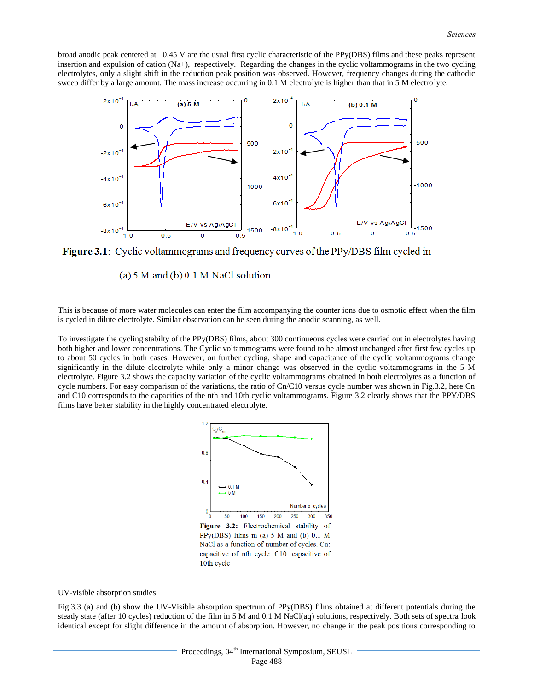broad anodic peak centered at  $-0.45$  V are the usual first cyclic characteristic of the PPy(DBS) films and these peaks represent insertion and expulsion of cation (Na+), respectively. Regarding the changes in the cyclic voltammograms in the two cycling electrolytes, only a slight shift in the reduction peak position was observed. However, frequency changes during the cathodic sweep differ by a large amount. The mass increase occurring in 0.1 M electrolyte is higher than that in 5 M electrolyte.



**Figure 3.1**: Cyclic voltammograms and frequency curves of the PPy/DBS film cycled in

(a)  $5 M$  and (b)  $0.1 M$  NaCl solution

This is because of more water molecules can enter the film accompanying the counter ions due to osmotic effect when the film is cycled in dilute electrolyte. Similar observation can be seen during the anodic scanning, as well.

To investigate the cycling stabilty of the PPy(DBS) films, about 300 continueous cycles were carried out in electrolytes having both higher and lower concentrations. The Cyclic voltammograms were found to be almost unchanged after first few cycles up to about 50 cycles in both cases. However, on further cycling, shape and capacitance of the cyclic voltammograms change significantly in the dilute electrolyte while only a minor change was observed in the cyclic voltammograms in the 5 M electrolyte. Figure 3.2 shows the capacity variation of the cyclic voltammograms obtained in both electrolytes as a function of cycle numbers. For easy comparison of the variations, the ratio of  $Cn/C10$  versus cycle number was shown in Fig.3.2, here  $Cn$ and C10 corresponds to the capacities of the nth and 10th cyclic voltammograms. Figure 3.2 clearly shows that the PPY/DBS films have better stability in the highly concentrated electrolyte.



PPy(DBS) films in (a)  $5$  M and (b)  $0.1$  M NaCl as a function of number of cycles. Cn: capacitive of nth cycle, C10: capacitive of 10th cycle

#### UV-visible absorption studies

Fig.3.3 (a) and (b) show the UV-Visible absorption spectrum of PPy(DBS) films obtained at different potentials during the steady state (after 10 cycles) reduction of the film in 5 M and 0.1 M NaCl(aq) solutions, respectively. Both sets of spectra look identical except for slight difference in the amount of absorption. However, no change in the peak positions corresponding to